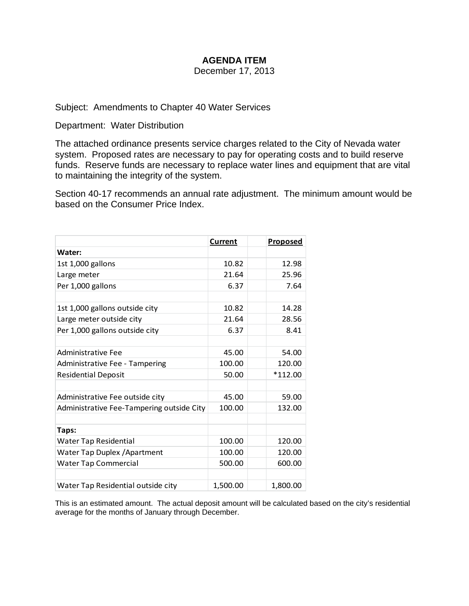# **AGENDA ITEM**

December 17, 2013

### Subject: Amendments to Chapter 40 Water Services

Department: Water Distribution

The attached ordinance presents service charges related to the City of Nevada water system. Proposed rates are necessary to pay for operating costs and to build reserve funds. Reserve funds are necessary to replace water lines and equipment that are vital to maintaining the integrity of the system.

Section 40-17 recommends an annual rate adjustment. The minimum amount would be based on the Consumer Price Index.

|                                           | <b>Current</b> | <b>Proposed</b> |
|-------------------------------------------|----------------|-----------------|
| Water:                                    |                |                 |
| 1st 1,000 gallons                         | 10.82          | 12.98           |
| Large meter                               | 21.64          | 25.96           |
| Per 1,000 gallons                         | 6.37           | 7.64            |
|                                           |                |                 |
| 1st 1,000 gallons outside city            | 10.82          | 14.28           |
| Large meter outside city                  | 21.64          | 28.56           |
| Per 1,000 gallons outside city            | 6.37           | 8.41            |
|                                           |                |                 |
| Administrative Fee                        | 45.00          | 54.00           |
| Administrative Fee - Tampering            | 100.00         | 120.00          |
| <b>Residential Deposit</b>                | 50.00          | $*112.00$       |
|                                           |                |                 |
| Administrative Fee outside city           | 45.00          | 59.00           |
| Administrative Fee-Tampering outside City | 100.00         | 132.00          |
|                                           |                |                 |
| Taps:                                     |                |                 |
| Water Tap Residential                     | 100.00         | 120.00          |
| Water Tap Duplex / Apartment              | 100.00         | 120.00          |
| <b>Water Tap Commercial</b>               | 500.00         | 600.00          |
|                                           |                |                 |
| Water Tap Residential outside city        | 1,500.00       | 1,800.00        |

This is an estimated amount. The actual deposit amount will be calculated based on the city's residential average for the months of January through December.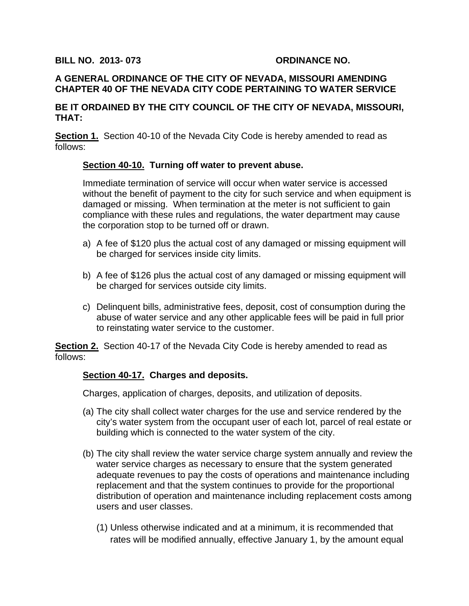#### **BILL NO. 2013- 073 ORDINANCE NO.**

## **A GENERAL ORDINANCE OF THE CITY OF NEVADA, MISSOURI AMENDING CHAPTER 40 OF THE NEVADA CITY CODE PERTAINING TO WATER SERVICE**

**BE IT ORDAINED BY THE CITY COUNCIL OF THE CITY OF NEVADA, MISSOURI, THAT:** 

**Section 1.** Section 40-10 of the Nevada City Code is hereby amended to read as follows:

### **Section 40-10. Turning off water to prevent abuse.**

Immediate termination of service will occur when water service is accessed without the benefit of payment to the city for such service and when equipment is damaged or missing. When termination at the meter is not sufficient to gain compliance with these rules and regulations, the water department may cause the corporation stop to be turned off or drawn.

- a) A fee of \$120 plus the actual cost of any damaged or missing equipment will be charged for services inside city limits.
- b) A fee of \$126 plus the actual cost of any damaged or missing equipment will be charged for services outside city limits.
- c) Delinquent bills, administrative fees, deposit, cost of consumption during the abuse of water service and any other applicable fees will be paid in full prior to reinstating water service to the customer.

**Section 2.** Section 40-17 of the Nevada City Code is hereby amended to read as follows:

### **Section 40-17. Charges and deposits.**

Charges, application of charges, deposits, and utilization of deposits.

- (a) The city shall collect water charges for the use and service rendered by the city's water system from the occupant user of each lot, parcel of real estate or building which is connected to the water system of the city.
- (b) The city shall review the water service charge system annually and review the water service charges as necessary to ensure that the system generated adequate revenues to pay the costs of operations and maintenance including replacement and that the system continues to provide for the proportional distribution of operation and maintenance including replacement costs among users and user classes.
	- (1) Unless otherwise indicated and at a minimum, it is recommended that rates will be modified annually, effective January 1, by the amount equal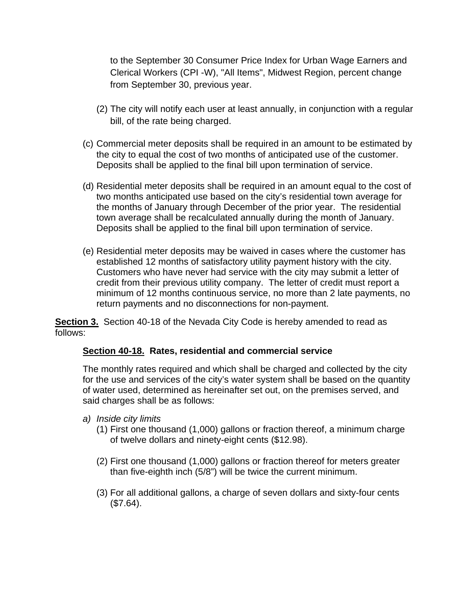to the September 30 Consumer Price Index for Urban Wage Earners and Clerical Workers (CPI -W), "All Items", Midwest Region, percent change from September 30, previous year.

- (2) The city will notify each user at least annually, in conjunction with a regular bill, of the rate being charged.
- (c) Commercial meter deposits shall be required in an amount to be estimated by the city to equal the cost of two months of anticipated use of the customer. Deposits shall be applied to the final bill upon termination of service.
- (d) Residential meter deposits shall be required in an amount equal to the cost of two months anticipated use based on the city's residential town average for the months of January through December of the prior year. The residential town average shall be recalculated annually during the month of January. Deposits shall be applied to the final bill upon termination of service.
- (e) Residential meter deposits may be waived in cases where the customer has established 12 months of satisfactory utility payment history with the city. Customers who have never had service with the city may submit a letter of credit from their previous utility company. The letter of credit must report a minimum of 12 months continuous service, no more than 2 late payments, no return payments and no disconnections for non-payment.

**Section 3.** Section 40-18 of the Nevada City Code is hereby amended to read as follows:

## **Section 40-18. Rates, residential and commercial service**

The monthly rates required and which shall be charged and collected by the city for the use and services of the city's water system shall be based on the quantity of water used, determined as hereinafter set out, on the premises served, and said charges shall be as follows:

- *a) Inside city limits* 
	- (1) First one thousand (1,000) gallons or fraction thereof, a minimum charge of twelve dollars and ninety-eight cents (\$12.98).
	- (2) First one thousand (1,000) gallons or fraction thereof for meters greater than five-eighth inch (5/8") will be twice the current minimum.
	- (3) For all additional gallons, a charge of seven dollars and sixty-four cents (\$7.64).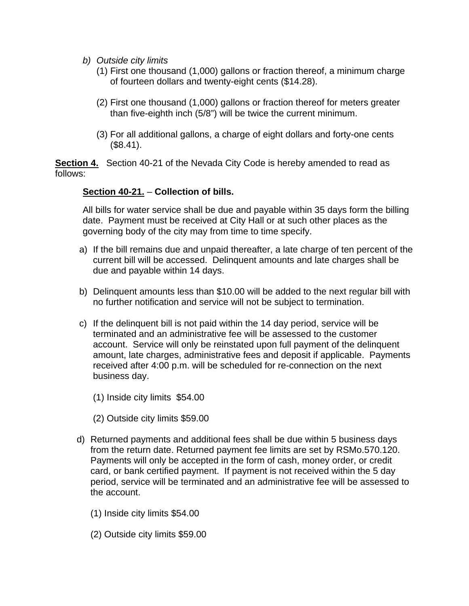- *b) Outside city limits* 
	- (1) First one thousand (1,000) gallons or fraction thereof, a minimum charge of fourteen dollars and twenty-eight cents (\$14.28).
	- (2) First one thousand (1,000) gallons or fraction thereof for meters greater than five-eighth inch (5/8") will be twice the current minimum.
	- (3) For all additional gallons, a charge of eight dollars and forty-one cents (\$8.41).

**Section 4.** Section 40-21 of the Nevada City Code is hereby amended to read as follows:

## **Section 40-21.** – **Collection of bills.**

All bills for water service shall be due and payable within 35 days form the billing date. Payment must be received at City Hall or at such other places as the governing body of the city may from time to time specify.

- a) If the bill remains due and unpaid thereafter, a late charge of ten percent of the current bill will be accessed. Delinquent amounts and late charges shall be due and payable within 14 days.
- b) Delinquent amounts less than \$10.00 will be added to the next regular bill with no further notification and service will not be subject to termination.
- c) If the delinquent bill is not paid within the 14 day period, service will be terminated and an administrative fee will be assessed to the customer account. Service will only be reinstated upon full payment of the delinquent amount, late charges, administrative fees and deposit if applicable. Payments received after 4:00 p.m. will be scheduled for re-connection on the next business day.
	- (1) Inside city limits \$54.00
	- (2) Outside city limits \$59.00
- d) Returned payments and additional fees shall be due within 5 business days from the return date. Returned payment fee limits are set by RSMo.570.120. Payments will only be accepted in the form of cash, money order, or credit card, or bank certified payment. If payment is not received within the 5 day period, service will be terminated and an administrative fee will be assessed to the account.
	- (1) Inside city limits \$54.00
	- (2) Outside city limits \$59.00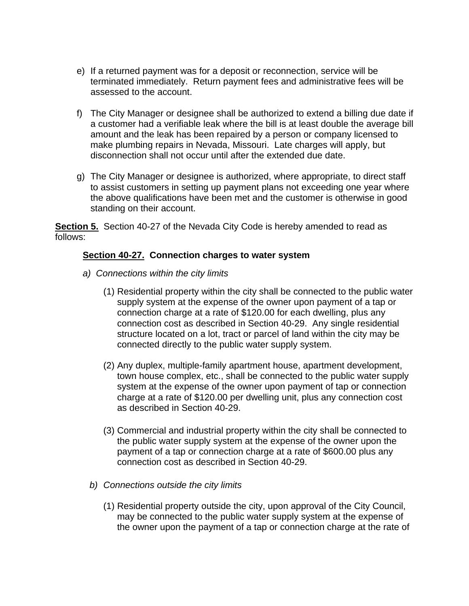- e) If a returned payment was for a deposit or reconnection, service will be terminated immediately. Return payment fees and administrative fees will be assessed to the account.
- f) The City Manager or designee shall be authorized to extend a billing due date if a customer had a verifiable leak where the bill is at least double the average bill amount and the leak has been repaired by a person or company licensed to make plumbing repairs in Nevada, Missouri. Late charges will apply, but disconnection shall not occur until after the extended due date.
- g) The City Manager or designee is authorized, where appropriate, to direct staff to assist customers in setting up payment plans not exceeding one year where the above qualifications have been met and the customer is otherwise in good standing on their account.

**Section 5.** Section 40-27 of the Nevada City Code is hereby amended to read as follows:

# **Section 40-27. Connection charges to water system**

- *a) Connections within the city limits*
	- (1) Residential property within the city shall be connected to the public water supply system at the expense of the owner upon payment of a tap or connection charge at a rate of \$120.00 for each dwelling, plus any connection cost as described in Section 40-29. Any single residential structure located on a lot, tract or parcel of land within the city may be connected directly to the public water supply system.
	- (2) Any duplex, multiple-family apartment house, apartment development, town house complex, etc., shall be connected to the public water supply system at the expense of the owner upon payment of tap or connection charge at a rate of \$120.00 per dwelling unit, plus any connection cost as described in Section 40-29.
	- (3) Commercial and industrial property within the city shall be connected to the public water supply system at the expense of the owner upon the payment of a tap or connection charge at a rate of \$600.00 plus any connection cost as described in Section 40-29.
	- *b) Connections outside the city limits*
		- (1) Residential property outside the city, upon approval of the City Council, may be connected to the public water supply system at the expense of the owner upon the payment of a tap or connection charge at the rate of